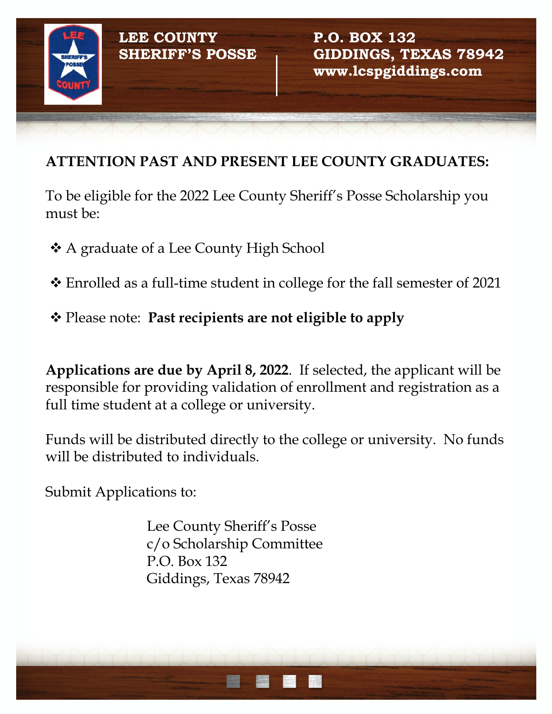

## **ATTENTION PAST AND PRESENT LEE COUNTY GRADUATES:**

To be eligible for the 2022 Lee County Sheriff's Posse Scholarship you must be:

**❖** A graduate of a Lee County High School

 $\cdot$  Enrolled as a full-time student in college for the fall semester of 2021

v Please note: **Past recipients are not eligible to apply**

**Applications are due by April 8, 2022**. If selected, the applicant will be responsible for providing validation of enrollment and registration as a full time student at a college or university.

Funds will be distributed directly to the college or university. No funds will be distributed to individuals.

Submit Applications to:

Lee County Sheriff's Posse c/o Scholarship Committee P.O. Box 132 Giddings, Texas 78942